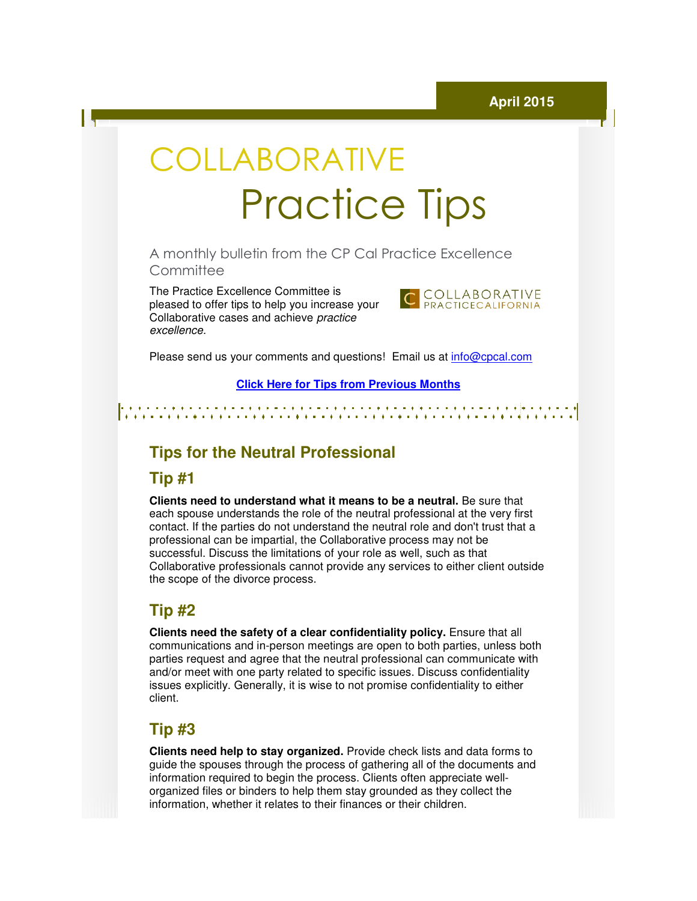# COLLABORATIVE Practice Practice Tips

A monthly bulletin from the CP Cal Practice Excellence **Committee** 

The Practice Excellence Committee is pleased to offer tips to help you increase your help Collaborative cases and achieve practice excellence.



Please send us your comments and questions! Email us at *info@cpcal.com* 

#### **Click Here for Tips from Previous Months for Tips**

## **Tips for the Neutral Professional the**

#### **Tip #1**

**Clients need to understand what it means to be a neutral.** Be sure that each spouse understands the role of the neutral professional at the very first contact. If the parties do not understand the neutral role and don't trust that a professional can be impartial, the Collaborative process may not be successful. Discuss the limitations of your role as well, such as that each spouse understands the role of the neutral professional at the very first<br>contact. If the parties do not understand the neutral role and don't trust that a<br>professional can be impartial, the Collaborative process may the scope of the divorce process.

#### **Tip #2**

**Clients need the safety of a clear confidentiality policy.** Ensure that all communications and in-person meetings are open to both parties, unless both parties request and agree that the neutral professional can communicate with and/or meet with one party related to specific issues. Discuss confidentiality parties request and agree that the neutral professional can communicate with<br>and/or meet with one party related to specific issues. Discuss confidentiality<br>issues explicitly. Generally, it is wise to not promise confidenti client. ot provide any services to either client outside<br>
.<br>
ar confidentiality policy. Ensure that all<br>
neetings are open to both parties, unless both<br>
e neutral professional can communicate with<br>
d to specific issues. Discuss co

#### **Tip #3**

**Clients need help to stay organized.** Provide check lists and data forms to guide the spouses through the process of gathering all of the documents and guide the spouses through the process of gathering all of the documents<br>information required to begin the process. Clients often appreciate wellorganized files or binders to help them stay grounded as they collect the information, whether it relates to their finances or their children.